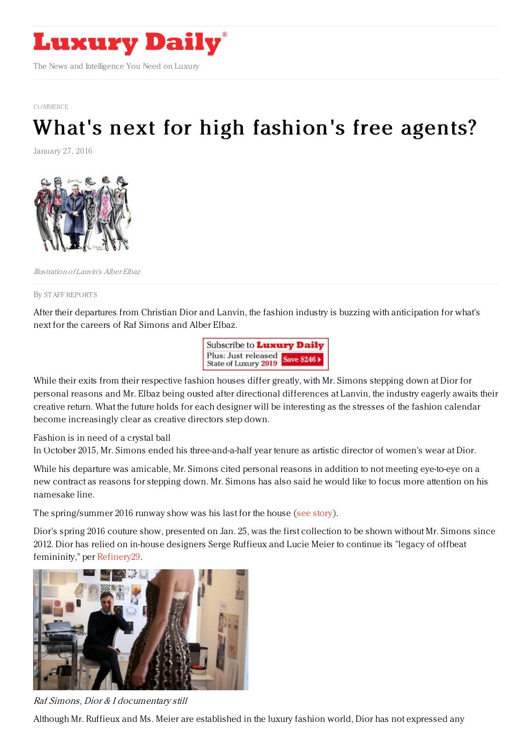

[COMMERCE](https://www.luxurydaily.com/category/news/commerce-news/)

## What's next for high [fashion's](https://www.luxurydaily.com/whats-next-for-high-fashions-free-agents/) free agents?

January 27, 2016



Illustration of Lanvin's Alber Elbaz

By STAFF [REPORT](file:///author/staff-reports) S

After their departures from Christian Dior and Lanvin, the fashion industry is buzzing with anticipation for what's next for the careers of Raf Simons and Alber Elbaz.

> Subscribe to Luxury Daily Plus: Just released<br>State of Luxury 2019 Save \$246

While their exits from their respective fashion houses differ greatly, with Mr. Simons stepping down at Dior for personal reasons and Mr. Elbaz being ousted after directional differences at Lanvin, the industry eagerly awaits their creative return. What the future holds for each designer will be interesting as the stresses of the fashion calendar become increasingly clear as creative directors step down.

Fashion is in need of a crystal ball

In October 2015, Mr. Simons ended his three-and-a-half year tenure as artistic director of women's wear at Dior.

While his departure was amicable, Mr. Simons cited personal reasons in addition to not meeting eye-to-eye on a new contract as reasons for stepping down. Mr. Simons has also said he would like to focus more attention on his namesake line.

The spring/summer 2016 runway show was his last for the house (see [story](https://www.luxurydaily.com/raf-simons-leaving-dior/)).

Dior's spring 2016 couture show, presented on Jan. 25, was the first collection to be shown without Mr. Simons since 2012. Dior has relied on in-house designers Serge Ruffieux and Lucie Meier to continue its "legacy of offbeat femininity," per [Refinery29.](http://www.refinery29.com/2016/01/101872/dior-couture-spring-2016-collection)



Raf Simons, Dior & I documentary still

Although Mr. Ruffieux and Ms. Meier are established in the luxury fashion world, Dior has not expressed any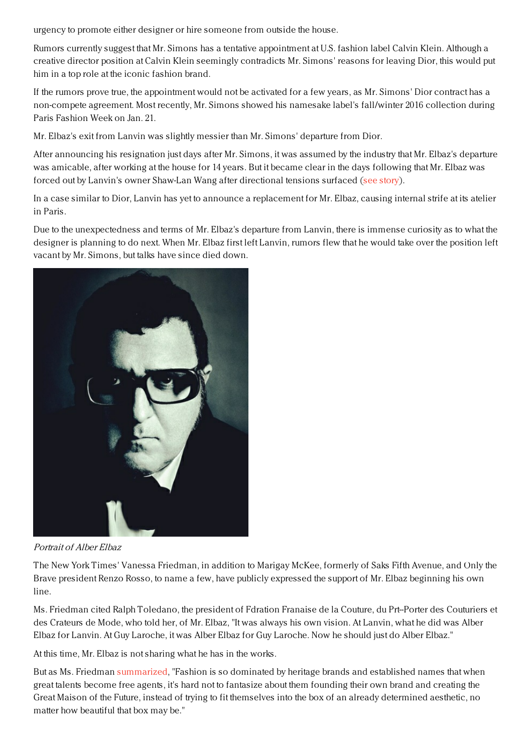urgency to promote either designer or hire someone from outside the house.

Rumors currently suggest that Mr. Simons has a tentative appointment at U.S. fashion label Calvin Klein. Although a creative director position at Calvin Klein seemingly contradicts Mr. Simons' reasons for leaving Dior, this would put him in a top role at the iconic fashion brand.

If the rumors prove true, the appointment would not be activated for a few years, as Mr. Simons' Dior contract has a non-compete agreement. Most recently, Mr. Simons showed his namesake label's fall/winter 2016 collection during Paris Fashion Week on Jan. 21.

Mr. Elbaz's exit from Lanvin was slightly messier than Mr. Simons' departure from Dior.

After announcing his resignation just days after Mr. Simons, it was assumed by the industry that Mr. Elbaz's departure was amicable, after working at the house for 14 years. But it became clear in the days following that Mr. Elbaz was forced out by Lanvin's owner Shaw-Lan Wang after directional tensions surfaced (see [story](https://www.luxurydaily.com/lanvin-dismissed-alber-elbaz-due-to-directional-tensions/)).

In a case similar to Dior, Lanvin has yet to announce a replacement for Mr. Elbaz, causing internal strife at its atelier in Paris.

Due to the unexpectedness and terms of Mr. Elbaz's departure from Lanvin, there is immense curiosity as to what the designer is planning to do next. When Mr. Elbaz first left Lanvin, rumors flew that he would take over the position left vacant by Mr. Simons, but talks have since died down.



Portrait of Alber Elbaz

The New York Times' Vanessa Friedman, in addition to Marigay McKee, formerly of Saks Fifth Avenue, and Only the Brave president Renzo Rosso, to name a few, have publicly expressed the support of Mr. Elbaz beginning his own line.

Ms. Friedman cited Ralph Toledano, the president of Fdration Franaise de la Couture, du Prt--Porter des Couturiers et des Crateurs de Mode, who told her, of Mr. Elbaz, "It was always his own vision. At Lanvin, what he did was Alber Elbaz for Lanvin. At Guy Laroche, it was Alber Elbaz for Guy Laroche. Now he should just do Alber Elbaz."

At this time, Mr. Elbaz is not sharing what he has in the works.

But as Ms. Friedman [summarized](https://www.luxurydaily.com/lanvin-dismissed-alber-elbaz-due-to-directional-tensions/), "Fashion is so dominated by heritage brands and established names that when great talents become free agents, it's hard not to fantasize about them founding their own brand and creating the Great Maison of the Future, instead of trying to fit themselves into the box of an already determined aesthetic, no matter how beautiful that box may be."